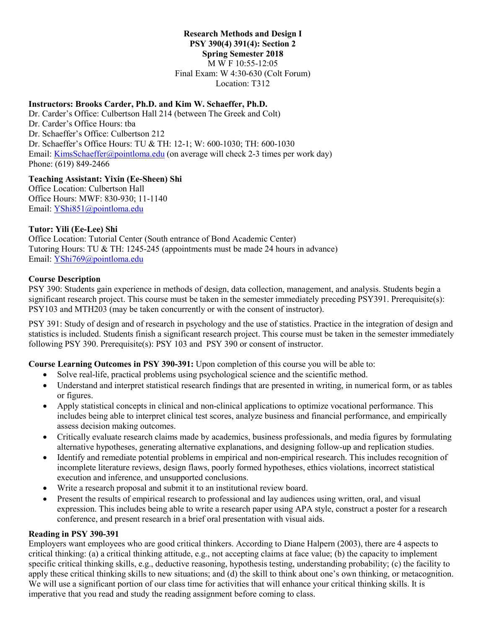#### **Research Methods and Design I PSY 390(4) 391(4): Section 2**

**Spring Semester 2018**

M W F 10:55-12:05

Final Exam: W 4:30-630 (Colt Forum) Location: T312

# **Instructors: Brooks Carder, Ph.D. and Kim W. Schaeffer, Ph.D.**

Dr. Carder's Office: Culbertson Hall 214 (between The Greek and Colt) Dr. Carder's Office Hours: tba Dr. Schaeffer's Office: Culbertson 212 Dr. Schaeffer's Office Hours: TU & TH: 12-1; W: 600-1030; TH: 600-1030 Email: [KimsSchaeffer@pointloma.edu](mailto:KimsSchaeffer@pointloma.edu) (on average will check 2-3 times per work day) Phone: (619) 849-2466

## **Teaching Assistant: Yixin (Ee-Sheen) Shi**

Office Location: Culbertson Hall Office Hours: MWF: 830-930; 11-1140 Email: [YShi851@pointloma.edu](mailto:YShi851@pointloma.edu)

# **Tutor: Yili (Ee-Lee) Shi**

Office Location: Tutorial Center (South entrance of Bond Academic Center) Tutoring Hours: TU & TH: 1245-245 (appointments must be made 24 hours in advance) Email: [YShi769@pointloma.edu](mailto:YShi769@pointloma.edu)

# **Course Description**

PSY 390: Students gain experience in methods of design, data collection, management, and analysis. Students begin a significant research project. This course must be taken in the semester immediately preceding PSY391. Prerequisite(s): PSY103 and MTH203 (may be taken concurrently or with the consent of instructor).

PSY 391: Study of design and of research in psychology and the use of statistics. Practice in the integration of design and statistics is included. Students finish a significant research project. This course must be taken in the semester immediately following PSY 390. Prerequisite(s): PSY 103 and PSY 390 or consent of instructor.

## **Course Learning Outcomes in PSY 390-391:** Upon completion of this course you will be able to:

- Solve real-life, practical problems using psychological science and the scientific method.
- Understand and interpret statistical research findings that are presented in writing, in numerical form, or as tables or figures.
- Apply statistical concepts in clinical and non-clinical applications to optimize vocational performance. This includes being able to interpret clinical test scores, analyze business and financial performance, and empirically assess decision making outcomes.
- Critically evaluate research claims made by academics, business professionals, and media figures by formulating alternative hypotheses, generating alternative explanations, and designing follow-up and replication studies.
- Identify and remediate potential problems in empirical and non-empirical research. This includes recognition of incomplete literature reviews, design flaws, poorly formed hypotheses, ethics violations, incorrect statistical execution and inference, and unsupported conclusions.
- Write a research proposal and submit it to an institutional review board.
- Present the results of empirical research to professional and lay audiences using written, oral, and visual expression. This includes being able to write a research paper using APA style, construct a poster for a research conference, and present research in a brief oral presentation with visual aids.

## **Reading in PSY 390-391**

Employers want employees who are good critical thinkers. According to Diane Halpern (2003), there are 4 aspects to critical thinking: (a) a critical thinking attitude, e.g., not accepting claims at face value; (b) the capacity to implement specific critical thinking skills, e.g., deductive reasoning, hypothesis testing, understanding probability; (c) the facility to apply these critical thinking skills to new situations; and (d) the skill to think about one's own thinking, or metacognition. We will use a significant portion of our class time for activities that will enhance your critical thinking skills. It is imperative that you read and study the reading assignment before coming to class.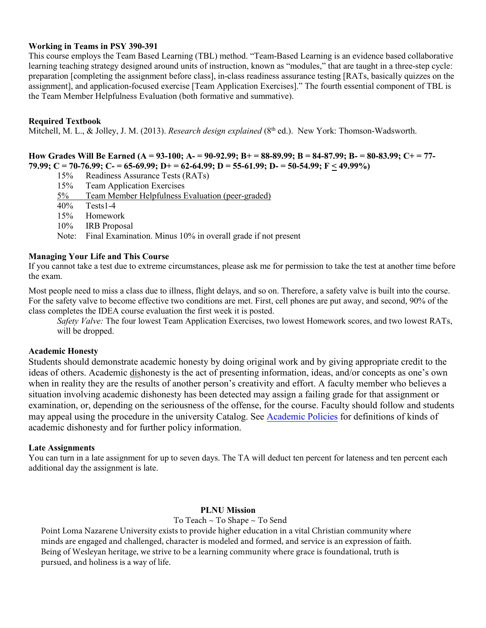### **Working in Teams in PSY 390-391**

This course employs the Team Based Learning (TBL) method. "Team-Based Learning is an evidence based collaborative learning teaching strategy designed around units of instruction, known as "modules," that are taught in a three-step cycle: preparation [completing the assignment before class], in-class readiness assurance testing [RATs, basically quizzes on the assignment], and application-focused exercise [Team Application Exercises]." The fourth essential component of TBL is the Team Member Helpfulness Evaluation (both formative and summative).

## **Required Textbook**

Mitchell, M. L., & Jolley, J. M. (2013). *Research design explained* (8<sup>th</sup> ed.). New York: Thomson-Wadsworth.

**How Grades Will Be Earned (A = 93-100; A- = 90-92.99; B+ = 88-89.99; B = 84-87.99; B- = 80-83.99; C+ = 77- 79.99; C = 70-76.99; C- = 65-69.99; D+ = 62-64.99; D = 55-61.99; D- = 50-54.99; F < 49.99%)** 

- 15% Readiness Assurance Tests (RATs)
- 15% Team Application Exercises
- 5% Team Member Helpfulness Evaluation (peer-graded)<br>40% Tests1-4
- Tests1-4
- 15% Homework
- 10% IRB Proposal
- Note: Final Examination. Minus 10% in overall grade if not present

#### **Managing Your Life and This Course**

If you cannot take a test due to extreme circumstances, please ask me for permission to take the test at another time before the exam.

Most people need to miss a class due to illness, flight delays, and so on. Therefore, a safety valve is built into the course. For the safety valve to become effective two conditions are met. First, cell phones are put away, and second, 90% of the class completes the IDEA course evaluation the first week it is posted.

*Safety Valve:* The four lowest Team Application Exercises, two lowest Homework scores, and two lowest RATs, will be dropped.

### **Academic Honesty**

Students should demonstrate academic honesty by doing original work and by giving appropriate credit to the ideas of others. Academic dishonesty is the act of presenting information, ideas, and/or concepts as one's own when in reality they are the results of another person's creativity and effort. A faculty member who believes a situation involving academic dishonesty has been detected may assign a failing grade for that assignment or examination, or, depending on the seriousness of the offense, for the course. Faculty should follow and students may appeal using the procedure in the university Catalog. Se[e Academic Policies](http://catalog.pointloma.edu/content.php?catoid=18&navoid=1278) for definitions of kinds of academic dishonesty and for further policy information.

### **Late Assignments**

You can turn in a late assignment for up to seven days. The TA will deduct ten percent for lateness and ten percent each additional day the assignment is late.

### **PLNU Mission**

#### To Teach ~ To Shape ~ To Send

Point Loma Nazarene University exists to provide higher education in a vital Christian community where minds are engaged and challenged, character is modeled and formed, and service is an expression of faith. Being of Wesleyan heritage, we strive to be a learning community where grace is foundational, truth is pursued, and holiness is a way of life.